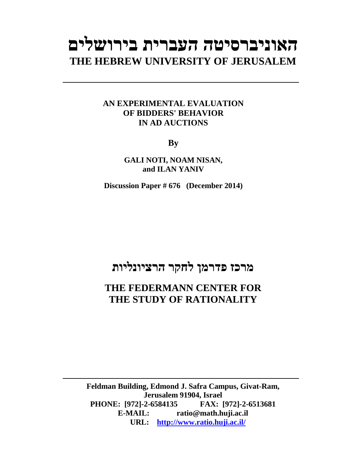# **האוניברסיטה העברית בירושלים THE HEBREW UNIVERSITY OF JERUSALEM**

## **AN EXPERIMENTAL EVALUATION OF BIDDERS' BEHAVIOR IN AD AUCTIONS**

**By** 

**GALI NOTI, NOAM NISAN, and ILAN YANIV** 

**Discussion Paper # 676 (December 2014)**

## **מרכז פדרמן לחקר הרציונליות**

## **THE FEDERMANN CENTER FOR THE STUDY OF RATIONALITY**

**Feldman Building, Edmond J. Safra Campus, Givat-Ram, Jerusalem 91904, Israel PHONE: [972]-2-6584135 FAX: [972]-2-6513681 E-MAIL: ratio@math.huji.ac.il URL: http://www.ratio.huji.ac.il/**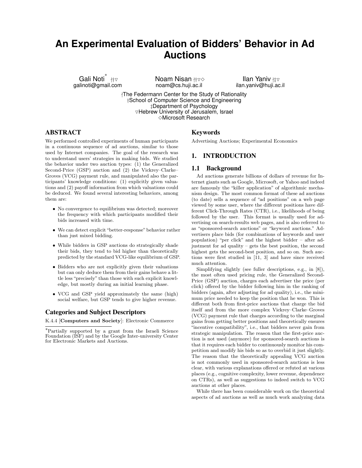## **An Experimental Evaluation of Bidders' Behavior in Ad Auctions**

–<br>galinoti@gmail.com<br>galinoti@gmail.com

Noam Nisan  $H\triangledown\Diamond$ noam@cs.huji.ac.il

Ilan Yaniv  $n\pm\infty$ ilan.yaniv@huji.ac.il

-The Federmann Center for the Study of Rationality †School of Computer Science and Engineering ‡Department of Psychology  $\nabla$ Hebrew University of Jerusalem, Israel ✸Microsoft Research

ABSTRACT

We performed controlled experiments of human participants in a continuous sequence of ad auctions, similar to those used by Internet companies. The goal of the research was to understand users' strategies in making bids. We studied the behavior under two auction types: (1) the Generalized Second-Price (GSP) auction and (2) the Vickrey–Clarke– Groves (VCG) payment rule, and manipulated also the participants' knowledge conditions: (1) explicitly given valuations and (2) payoff information from which valuations could be deduced. We found several interesting behaviors, among them are:

- No convergence to equilibrium was detected; moreover the frequency with which participants modified their bids increased with time.
- We can detect explicit "better-response"behavior rather than just mixed bidding.
- While bidders in GSP auctions do strategically shade their bids, they tend to bid higher than theoretically predicted by the standard VCG-like equilibrium of GSP.
- Bidders who are not explicitly given their valuations but can only deduce them from their gains behave a little less "precisely" than those with such explicit knowledge, but mostly during an initial learning phase.
- VCG and GSP yield approximately the same (high) social welfare, but GSP tends to give higher revenue.

## Categories and Subject Descriptors

K.4.4 [Computers and Society]: Electronic Commerce

## Keywords

Advertising Auctions; Experimental Economics

## 1. INTRODUCTION

#### 1.1 Background

Ad auctions generate billions of dollars of revenue for Internet giants such as Google, Microsoft, or Yahoo and indeed are famously the "killer application" of algorithmic mechanism design. The most common format of these ad auctions (to date) sells a sequence of "ad positions" on a web page viewed by some user, where the different positions have different Click-Through Rates (CTR), i.e., likelihoods of being followed by the user. This format is usually used for advertising on search-results web pages, and is also referred to as "sponsored-search auctions" or "keyword auctions." Advertisers place bids (for combinations of keywords and user population) "per click" and the highest bidder – after adjustment for ad quality – gets the best position, the second highest gets the second-best position, and so on. Such auctions were first studied in [11, 3] and have since received much attention.

Simplifying slightly (see fuller descriptions, e.g., in [8]), the most often used pricing rule, the Generalized Second-Price (GSP) auction, charges each advertiser the price (per click) offered by the bidder following him in the ranking of bidders (again, after adjusting for ad quality), i.e., the minimum price needed to keep the position that he won. This is different both from first-price auctions that charge the bid itself and from the more complex Vickrey–Clarke–Groves (VCG) payment rule that charges according to the marginal gains from getting better positions and theoretically ensures "incentive compatibility", i.e., that bidders never gain from strategic manipulation. The reason that the first-price auction is not used (anymore) for sponsored-search auctions is that it requires each bidder to continuously monitor his competition and modify his bids so as to overbid it just slightly. The reason that the theoretically appealing VCG auction is not commonly used in sponsored-search auctions is less clear, with various explanations offered or refuted at various places (e.g., cognitive complexity, lower revenue, dependence on CTRs), as well as suggestions to indeed switch to VCG auctions at other places.

While there has been considerable work on the theoretical aspects of ad auctions as well as much work analyzing data

<sup>∗</sup>Partially supported by a grant from the Israeli Science Foundation (ISF) and by the Google Inter-university Center for Electronic Markets and Auctions.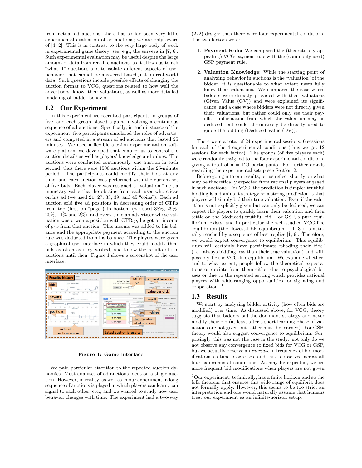from actual ad auctions, there has so far been very little experimental evaluation of ad auctions; we are only aware of [4, 2]. This is in contrast to the very large body of work in experimental game theory; see, e.g., the surveys in [7, 6]. Such experimental evaluation may be useful despite the large amount of data from real-life auctions, as it allows us to ask "what if" questions and to isolate different aspects of user behavior that cannot be answered based just on real-world data. Such questions include possible effects of changing the auction format to VCG, questions related to how well the advertisers "know" their valuations, as well as more detailed modeling of bidder behavior.

## 1.2 Our Experiment

In this experiment we recruited participants in groups of five, and each group played a game involving a continuous sequence of ad auctions. Specifically, in each instance of the experiment, five participants simulated the roles of advertisers and competed in a stream of ad auctions that lasted 25 minutes. We used a flexible auction experimentation software platform we developed that enabled us to control the auction details as well as players' knowledge and values. The auctions were conducted continuously, one auction in each second; thus there were 1500 auctions within the 25-minute period. The participants could modify their bids at any time, and each auction was performed with the current set of five bids. Each player was assigned a "valuation," i.e., a monetary value that he obtains from each user who clicks on his ad (we used 21, 27, 33, 39, and 45 "coins"). Each ad auction sold five ad positions in decreasing order of CTRs from top (first on "page") to bottom (we used 38%, 29%, 20%, 11% and 2%), and every time an advertiser whose valuation was  $v$  won a position with CTR  $p$ , he got an income of  $p \cdot v$  from that auction. This income was added to his balance and the appropriate payment according to the auction rule was deducted from his balance. The players were given a graphical user interface in which they could modify their bids as often as they wished, and follow the results of the auctions until then. Figure 1 shows a screenshot of the user interface.



#### Figure 1: Game interface

We paid particular attention to the repeated auction dynamics. Most analyses of ad auctions focus on a single auction. However, in reality, as well as in our experiment, a long sequence of auctions is played in which players can learn, can signal to each other, etc., and we wanted to study how user behavior changes with time. The experiment had a two-way

(2x2) design; thus there were four experimental conditions. The two factors were:

- 1. Payment Rule: We compared the (theoretically appealing) VCG payment rule with the (commonly used) GSP payment rule.
- 2. Valuation Knowledge: While the starting point of analyzing behavior in auctions is the "valuation" of the bidder, it is questionable to what extent users fully know their valuations. We compared the case where bidders were directly provided with their valuations (Given Value (GV)) and were explained its significance, and a case where bidders were not directly given their valuations, but rather could only see their payoffs – information from which the valuation may be deduced, but could alternatively be directly used to guide the bidding (Deduced Value (DV)).

There were a total of 24 experimental sessions, 6 sessions for each of the 4 experimental conditions (thus we get 12 sessions for each factor). The groups (of five players each) were randomly assigned to the four experimental conditions, giving a total of  $n = 120$  participants. For further details regarding the experimental setup see Section 2.

Before going into our results, let us reflect shortly on what may be theoretically expected from rational players engaged in such auctions. For VCG, the prediction is simple: truthful bidding is a dominant strategy so a strong prediction is that players will simply bid their true valuation. Even if the valuation is not explicitly given but can only be deduced, we can expect the players to quickly learn their valuation and then settle on the (deduced) truthful bid. For GSP, a pure equilibrium exists, and in particular the well-studied VCG-like equilibrium (the "lowest-LEF equilibrium" [11, 3]), is naturally reached by a sequence of best replies [1, 9]. Therefore, we would expect convergence to equilibrium. This equilibrium will certainly have participants "shading their bids" (i.e., always bidding less than their true valuation) and will, possibly, be the VCG-like equilibrium. We examine whether, and to what extent, people follow the theoretical expectations or deviate from them either due to psychological biases or due to the repeated setting which provides rational players with wide-ranging opportunities for signaling and cooperation.

### 1.3 Results

We start by analyzing bidder activity (how often bids are modified) over time. As discussed above, for VCG, theory suggests that bidders bid the dominant strategy and never modify their bid (at least after a short learning phase, if valuations are not given but rather must be learned). For GSP, theory would also suggest convergence to equilibrium. Surprisingly, this was not the case in the study: not only do we not observe any convergence to fixed bids for VCG or GSP, but we actually observe an increase in frequency of bid modifications as time progresses, and this is observed across all four experimental conditions. As may be expected, we see more frequent bid modifications when players are not given

 $^1$  Our experiment, technically, has a finite horizon and so the folk theorem that ensures this wide range of equilibria does not formally apply. However, this seems to be too strict an interpretation and one would naturally assume that humans treat our experiment as an infinite-horizon setup.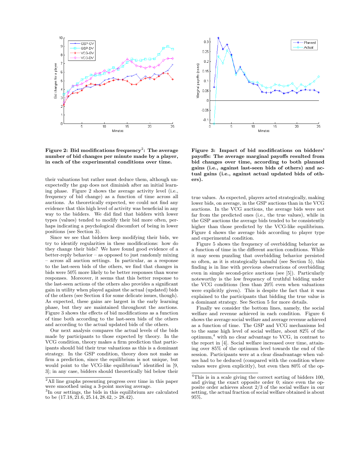

Figure 2: Bid modifications frequency $^2\!\!:~$  The average number of bid changes per minute made by a player, in each of the experimental conditions over time.

their valuations but rather must deduce them, although unexpectedly the gap does not diminish after an initial learning phase. Figure 2 shows the average activity level (i.e., frequency of bid change) as a function of time across all auctions. As theoretically expected, we could not find any evidence that this high level of activity was beneficial in any way to the bidders. We did find that bidders with lower types (values) tended to modify their bid more often, perhaps indicating a psychological discomfort of being in lower positions (see Section 3).

Since we see that bidders keep modifying their bids, we try to identify regularities in these modifications: how do they change their bids? We have found good evidence of a better-reply behavior – as opposed to just randomly mixing – across all auction settings. In particular, as a response to the last-seen bids of the others, we find that changes in bids were 50% more likely to be better responses than worse responses. Moreover, it seems that this better response to the last-seen actions of the others also provides a significant gain in utility when played against the actual (updated) bids of the others (see Section 4 for some delicate issues, though). As expected, these gains are largest in the early learning phase, but they are maintained throughout the auctions. Figure 3 shows the effects of bid modifications as a function of time both according to the last-seen bids of the others and according to the actual updated bids of the others.

Our next analysis compares the actual levels of the bids made by participants to those expected by theory. In the VCG condition, theory makes a firm prediction that participants should bid their true valuations as this is a dominant strategy. In the GSP condition, theory does not make as firm a prediction, since the equilibrium is not unique, but would point to the VCG-like equilibrium<sup>3</sup> identified in  $[9,$ 3]; in any case, bidders should theoretically bid below their



Figure 3: Impact of bid modifications on bidders' payoffs: The average marginal payoffs resulted from bid changes over time, according to both planned gains (i.e., against last-seen bids of others) and actual gains (i.e., against actual updated bids of others).

true values. As expected, players acted strategically, making lower bids, on average, in the GSP auctions than in the VCG auctions. In the VCG auctions, the average bids were not far from the predicted ones (i.e., the true values), while in the GSP auctions the average bids tended to be consistently higher than those predicted by the VCG-like equilibrium. Figure 4 shows the average bids according to player type and experimental condition.

Figure 5 shows the frequency of overbidding behavior as a function of time in the different auction conditions. While it may seem puzzling that overbidding behavior persisted so often, as it is strategically harmful (see Section 5), this finding is in line with previous observations of overbidding even in simple second-price auctions (see [5]). Particularly noteworthy is the low frequency of truthful bidding under the VCG conditions (less than 20% even when valuations were explicitly given). This is despite the fact that it was explained to the participants that bidding the true value is a dominant strategy. See Section 5 for more details.

Finally we consider the bottom lines, namely, the social welfare and revenue achieved in each condition. Figure 6 shows the average social welfare and average revenue achieved as a function of time. The GSP and VCG mechanisms led to the same high level of social welfare, about 82% of the optimum, $4$  with no clear advantage to VCG, in contrast to the report in [4]. Social welfare increased over time, attaining over 85% of the optimum level towards the end of the session. Participants were at a clear disadvantage when values had to be deduced (compared with the condition where values were given explicitly), but even then 80% of the op-

<sup>2</sup>All line graphs presenting progress over time in this paper were smoothed using a 3-point moving average.

<sup>3</sup> In our settings, the bids in this equilibrium are calculated to be (17.18, 21.6, 25.14, 28.42, > 28.42).

 $4$ This is in a scale giving the correct sorting of bidders 100, and giving the exact opposite order 0; since even the opposite order achieves about 2/3 of the social welfare in our setting, the actual fraction of social welfare obtained is about 95%.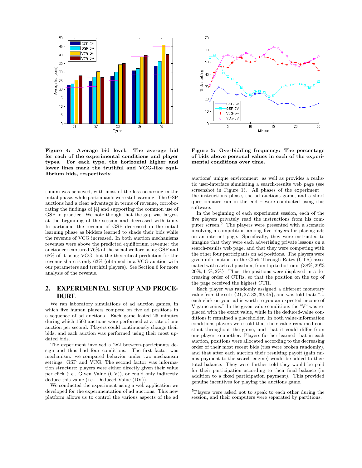

Figure 4: Average bid level: The average bid for each of the experimental conditions and player types. For each type, the horizontal higher and lower lines mark the truthful and VCG-like equilibrium bids, respectively.

timum was achieved, with most of the loss occurring in the initial phase, while participants were still learning. The GSP auctions had a clear advantage in terms of revenue, corroborating the findings of [4] and supporting the common use of GSP in practice. We note though that the gap was largest at the beginning of the session and decreased with time. In particular the revenue of GSP decreased in the initial learning phase as bidders learned to shade their bids while the revenue of VCG increased. In both auction mechanisms revenues were above the predicted equilibrium revenue: the auctioneer captured 76% of the social welfare using GSP and 68% of it using VCG, but the theoretical prediction for the revenue share is only 63% (obtained in a VCG auction with our parameters and truthful players). See Section 6 for more analysis of the revenue.

## 2. EXPERIMENTAL SETUP AND PROCE-DURE

We ran laboratory simulations of ad auction games, in which five human players compete on five ad positions in a sequence of ad auctions. Each game lasted 25 minutes during which 1500 auctions were performed at a rate of one auction per second. Players could continuously change their bids, and each auction was performed using their most updated bids.

The experiment involved a 2x2 between-participants design and thus had four conditions. The first factor was mechanism: we compared behavior under two mechanism settings, GSP and VCG. The second factor was information structure: players were either directly given their value per click (i.e., Given Value (GV)), or could only indirectly deduce this value (i.e., Deduced Value (DV)).

We conducted the experiment using a web application we developed for the experimentation of ad auctions. This new platform allows us to control the various aspects of the ad



Figure 5: Overbidding frequency: The percentage of bids above personal values in each of the experimental conditions over time.

auctions' unique environment, as well as provides a realistic user-interface simulating a search-results web page (see screenshot in Figure 1). All phases of the experiment – the instructions phase, the ad auctions game, and a short questionnaire run in the end – were conducted using this software.

In the beginning of each experiment session, each of the five players privately read the instructions from his computer screen.<sup>5</sup> The players were presented with a scenario involving a competition among five players for placing ads on an internet page. Specifically, they were instructed to imagine that they were each advertising private lessons on a search-results web page, and that they were competing with the other four participants on ad positions. The players were given information on the Click-Through Rates (CTR) associated with each ad position, from top to bottom: {38%, 29%,  $20\%, 11\%, 2\%$ . Thus, the positions were displayed in a decreasing order of CTRs, so that the position on the top of the page received the highest CTR.

Each player was randomly assigned a different monetary value from the set:  $\{21, 27, 33, 39, 45\}$ , and was told that: "... each click on your ad is worth to you an expected income of V game coins." In the given-value conditions the "V" was replaced with the exact value, while in the deduced-value conditions it remained a placeholder. In both value-information conditions players were told that their value remained constant throughout the game, and that it could differ from one player to another. Players further learned that in each auction, positions were allocated according to the decreasing order of their most recent bids (ties were broken randomly), and that after each auction their resulting payoff (gain minus payment to the search engine) would be added to their total balance. They were further told they would be paid for their participation according to their final balance (in addition to a fixed participation payment). This provided genuine incentives for playing the auctions game.

<sup>5</sup>Players were asked not to speak to each other during the session, and their computers were separated by partitions.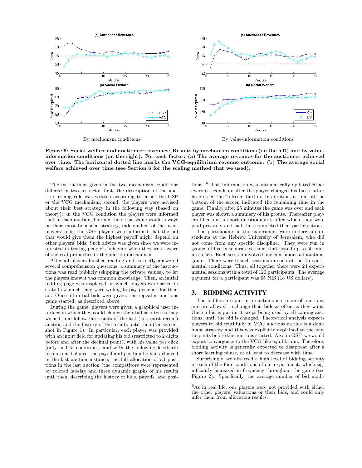

Figure 6: Social welfare and auctioneer revenues: Results by mechanism conditions (on the left) and by valueinformation conditions (on the right). For each factor: (a) The average revenues for the auctioneer achieved over time. The horizontal dotted line marks the VCG-equilibrium revenue outcome. (b) The average social welfare achieved over time (see Section 6 for the scaling method that we used).

The instructions given in the two mechanism conditions differed in two respects: first, the description of the auction pricing rule was written according to either the GSP or the VCG mechanism; second, the players were advised about their best strategy in the following way (based on theory): in the VCG condition the players were informed that in each auction, bidding their true value would always be their most beneficial strategy, independent of the other players' bids; the GSP players were informed that the bid that would give them the highest payoff might depend on other players' bids. Such advice was given since we were interested in testing people's behavior when they were aware of the real properties of the auction mechanism.

After all players finished reading and correctly answered several comprehension questions, a summary of the instructions was read publicly (skipping the private values), to let the players know it was common knowledge. Then, an initial bidding page was displayed, in which players were asked to state how much they were willing to pay per click for their ad. Once all initial bids were given, the repeated auctions game started, as described above.

During the game, players were given a graphical user interface in which they could change their bid as often as they wished, and follow the results of the last (i.e., most recent) auction and the history of the results until then (see screenshot in Figure 1). In particular, each player was provided with an input field for updating his bid (restricted to 2 digits before and after the decimal point), with his value per click (only in GV condition), and with the following feedback: his current balance; the payoff and position he had achieved in the last auction instance; the full allocation of ad positions in the last auction (the competitors were represented by colored labels); and three dynamic graphs of his results until then, describing the history of bids, payoffs, and posi-

tions. <sup>6</sup> This information was automatically updated either every 6 seconds or after the player changed his bid or after he pressed the "refresh" button. In addition, a timer at the bottom of the screen indicated the remaining time in the game. Finally, after 25 minutes the game was over and each player was shown a summary of his profits. Thereafter players filled out a short questionnaire, after which they were paid privately and had thus completed their participation.

The participants in the experiment were undergraduate students at the Hebrew University of Jerusalem, who did not come from any specific discipline. They were run in groups of five in separate sessions that lasted up to 50 minutes each. Each session involved one continuous ad auctions game. There were 6 such sessions in each of the 4 experimental conditions. Thus, all together there were 24 experimental sessions with a total of 120 participants. The average payment for a participant was 65 NIS (18 US dollars).

## 3. BIDDING ACTIVITY

The bidders are put in a continuous stream of auctions, and are allowed to change their bids as often as they want. Once a bid is put in, it keeps being used by all coming auctions, until the bid is changed. Theoretical analysis expects players to bid truthfully in VCG auctions as this is a dominant strategy and this was explicitly explained to the participants before the auctions started. Also in GSP, we would expect convergence to the VCG-like equilibrium. Therefore, bidding activity is generally expected to disappear after a short learning phase, or at least to decrease with time.

Surprisingly, we observed a high level of bidding activity in each of the four conditions of our experiment, which significantly increased in frequency throughout the game (see Figure 2). Specifically, the average number of bid modi-

 ${}^{6}$ As in real life, our players were not provided with either the other players' valuations or their bids, and could only infer them from allocation results.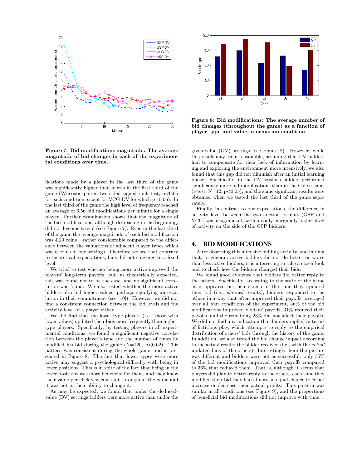

Figure 7: Bid modifications magnitude: The average magnitude of bid changes in each of the experimental conditions over time.

fications made by a player in the last third of the game was significantly higher than it was in the first third of the game (Wilcoxon paired two-sided signed rank test,  $p < 0.05$ ) for each condition except for VCG-DV for which p=0.06). In the last third of the game the high level of frequency reached an average of 6.56 bid modifications per minute for a single player. Further examination shows that the magnitude of the bid modifications, although decreasing in the beginning, did not become trivial (see Figure 7). Even in the last third of the game the average magnitude of each bid modification was  $4.29 \text{ coins}$  – rather considerable compared to the difference between the valuations of adjacent player types which was 6 coins in our settings. Therefore we see that contrary to theoretical expectations, bids did not converge to a fixed level.

We tried to test whether being more active improved the players' long-term payoffs, but, as theoretically expected, this was found not to be the case, and no significant correlation was found. We also tested whether the more active bidders also bid higher values, perhaps signifying an escalation in their commitment (see [10]). However, we did not find a consistent connection between the bid levels and the activity level of a player either.

We did find that the lower-type players (i.e., those with lower values) updated their bids more frequently than highertype players. Specifically, by testing players in all experimental conditions, we found a significant negative correlation between the player's type and the number of times he modified his bid during the game  $(N=120, p<0.02)$ . This pattern was consistent during the whole game, and is presented in Figure 8. The fact that lower types were more active may suggest a psychological difficulty with being in lower positions. This is in spite of the fact that being in the lower positions was more beneficial for them, and they knew their value per click was constant throughout the game and it was not in their ability to change it.

As may be expected, we found that under the deducedvalue (DV) settings bidders were more active than under the



Figure 8: Bid modifications: The average number of bid changes (throughout the game) as a function of player type and value-information condition.

given-value (GV) settings (see Figure 8). However, while this result may seem reasonable, assuming that DV bidders had to compensate for their lack of information by learning and exploring the environment more intensively, we also found that this gap did not diminish after an initial learning phase. Specifically, in the DV sessions bidders performed significantly more bid modifications than in the GV sessions  $(t-test, N=12, p<0.05)$ , and the same significant results were obtained when we tested the last third of the game separately.

Finally, in contrast to our expectations, the difference in activity level between the two auction formats (GSP and VCG) was insignificant, with an only marginally higher level of activity on the side of the GSP bidders.

## 4. BID MODIFICATIONS

After observing this intensive bidding activity, and finding that, in general, active bidders did not do better or worse than less active bidders, it is interesting to take a closer look and to check how the bidders changed their bids.

We found good evidence that bidders did better reply to the others. Specifically, according to the state of the game as it appeared on their screen at the time they updated their bid (i.e., planned results), bidders responded to the others in a way that often improved their payoffs: averaged over all four conditions of the experiment, 46% of the bid modifications improved bidders' payoffs, 31% reduced their payoffs, and the remaining 23% did not affect their payoffs. We did not find any indication that bidders replied in terms of fictitious play, which attempts to reply to the empirical distribution of others' bids through the history of the game. In addition, we also tested the bid change impact according to the actual results the bidder received (i.e., with the actual updated bids of the others). Interestingly, here the picture was different and bidders were not as successful: only 35% of the bid modifications improved their payoffs compared to 36% that reduced them. That is, although it seems that players did plan to better-reply to the others, each time they modified their bid they had almost an equal chance to either increase or decrease their actual profits. This pattern was similar in all conditions (see Figure 9), and the proportions of beneficial bid modifications did not improve with time.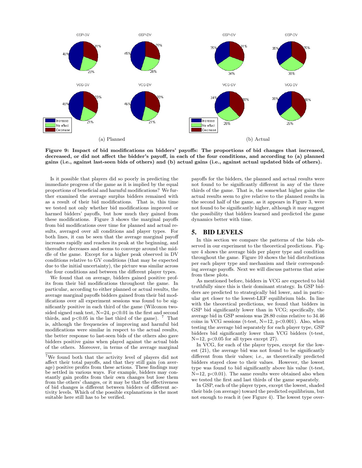

Figure 9: Impact of bid modifications on bidders' payoffs: The proportions of bid changes that increased, decreased, or did not affect the bidder's payoff, in each of the four conditions, and according to (a) planned gains (i.e., against last-seen bids of others) and (b) actual gains (i.e., against actual updated bids of others).

Is it possible that players did so poorly in predicting the immediate progress of the game as it is implied by the equal proportions of beneficial and harmful modifications? We further examined the average surplus bidders remained with as a result of their bid modifications. That is, this time we tested not only whether bid modifications improved or harmed bidders' payoffs, but how much they gained from these modifications. Figure 3 shows the marginal payoffs from bid modifications over time for planned and actual results, averaged over all conditions and player types. For both lines, it can be seen that the average marginal payoff increases rapidly and reaches its peak at the beginning, and thereafter decreases and seems to converge around the middle of the game. Except for a higher peak observed in DV conditions relative to GV conditions (that may be expected due to the initial uncertainty), the picture was similar across the four conditions and between the different player types.

We found that on average, bidders gained positive profits from their bid modifications throughout the game. In particular, according to either planned or actual results, the average marginal payoffs bidders gained from their bid modifications over all experiment sessions was found to be significantly positive in each third of the game (Wilcoxon twosided signed rank test,  $N=24$ ,  $p<0.01$  in the first and second thirds, and  $p<0.05$  in the last third of the game). <sup>7</sup> That is, although the frequencies of improving and harmful bid modifications were similar in respect to the actual results, the better response to last-seen bids of the others also gave bidders positive gains when played against the actual bids of the others. Moreover, in terms of the average marginal payoffs for the bidders, the planned and actual results were not found to be significantly different in any of the three thirds of the game. That is, the somewhat higher gains the actual results seem to give relative to the planned results in the second half of the game, as it appears in Figure 3, were not found to be significantly higher, although it may suggest the possibility that bidders learned and predicted the game dynamics better with time.

## 5. BID LEVELS

In this section we compare the patterns of the bids observed in our experiment to the theoretical predictions. Figure 4 shows the average bids per player type and condition throughout the game. Figure 10 shows the bid distributions per each player type and mechanism and their corresponding average payoffs. Next we will discuss patterns that arise from these plots.

As mentioned before, bidders in VCG are expected to bid truthfully since this is their dominant strategy. In GSP bidders are predicted to strategically bid lower, and in particular get closer to the lowest-LEF equilibrium bids. In line with the theoretical predictions, we found that bidders in GSP bid significantly lower than in VCG; specifically, the average bid in GSP sessions was 28.80 coins relative to 34.46 coins in VCG sessions (t-test,  $N=12$ ,  $p<0.001$ ). Also, when testing the average bid separately for each player type, GSP bidders bid significantly lower than VCG bidders (t-test,  $N=12$ , p<0.05 for all types except 27).

In VCG, for each of the player types, except for the lowest (21), the average bid was not found to be significantly different from their values; i.e., as theoretically predicted bidders stayed close to their values. However, the lowest type was found to bid significantly above his value (t-test,  $N=12$ ,  $p<0.01$ ). The same results were obtained also when we tested the first and last thirds of the game separately.

In GSP, each of the player types, except the lowest, shaded their bids (on average) toward the predicted equilibrium, but not enough to reach it (see Figure 4). The lowest type over-

<sup>7</sup>We found both that the activity level of players did not affect their total payoffs, and that they still gain (on average) positive profits from these actions. These findings may be settled in various ways. For example, bidders may constantly gain profits from their own changes but lose them from the others' changes, or it may be that the effectiveness of bid changes is different between bidders of different activity levels. Which of the possible explanations is the most suitable here still has to be verified.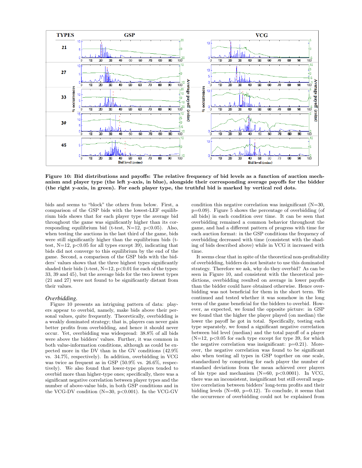

Figure 10: Bid distributions and payoffs: The relative frequency of bid levels as a function of auction mechanism and player type (the left y-axis, in blue), alongside their corresponding average payoffs for the bidder (the right y-axis, in green). For each player type, the truthful bid is marked by vertical red dots.

bids and seems to "block" the others from below. First, a comparison of the GSP bids with the lowest-LEF equilibrium bids shows that for each player type the average bid throughout the game was significantly higher than its corresponding equilibrium bid (t-test,  $N=12$ ,  $p<0.05$ ). Also, when testing the auctions in the last third of the game, bids were still significantly higher than the equilibrium bids (ttest,  $N=12$ ,  $p<0.05$  for all types except 39), indicating that bids did not converge to this equilibrium by the end of the game. Second, a comparison of the GSP bids with the bidders' values shows that the three highest types significantly shaded their bids (t-test,  $N=12$ ,  $p<0.01$  for each of the types: 33, 39 and 45), but the average bids for the two lowest types (21 and 27) were not found to be significantly distant from their values.

## *Overbidding.*

Figure 10 presents an intriguing pattern of data: players appear to overbid, namely, make bids above their personal values, quite frequently. Theoretically, overbidding is a weakly dominated strategy; that is, players can never gain better profits from overbidding, and hence it should never occur. Yet, overbidding was widespread: 38.8% of all bids were above the bidders' values. Further, it was common in both value-information conditions, although as could be expected more in the DV than in the GV conditions (42.9% vs. 34.7%, respectively). In addition, overbidding in VCG was twice as frequent as in GSP (50.9% vs. 26.6%, respectively). We also found that lower-type players tended to overbid more than higher-type ones; specifically, there was a significant negative correlation between player types and the number of above-value bids, in both GSP conditions and in the VCG-DV condition  $(N=30, p<0.001)$ . In the VCG-GV

condition this negative correlation was insignificant (N=30, p=0.09). Figure 5 shows the percentage of overbidding (of all bids) in each condition over time. It can be seen that overbidding remained a common behavior throughout the game, and had a different pattern of progress with time for each auction format: in the GSP conditions the frequency of overbidding decreased with time (consistent with the shading of bids described above) while in VCG it increased with time.

It seems clear that in spite of the theoretical non-profitability of overbidding, bidders do not hesitate to use this dominated strategy. Therefore we ask, why do they overbid? As can be seen in Figure 10, and consistent with the theoretical predictions, overbidding resulted on average in lower payoffs than the bidder could have obtained otherwise. Hence overbidding was not beneficial for them in the short term. We continued and tested whether it was somehow in the long term of the game beneficial for the bidders to overbid. However, as expected, we found the opposite picture: in GSP we found that the higher the player played (on median) the lower the payoff he got in total. Specifically, testing each type separately, we found a significant negative correlation between bid level (median) and the total payoff of a player  $(N=12, p<0.05$  for each type except for type 39, for which the negative correlation was insignificant:  $p=0.21$ ). Moreover, the negative correlation was found to be significant also when testing all types in GSP together on one scale, standardized by computing for each player the number of standard deviations from the mean achieved over players of his type and mechanism  $(N=60, p<0.0001)$ . In VCG, there was an inconsistent, insignificant but still overall negative correlation between bidders' long-term profits and their bidding levels  $(N=60, p=0.12)$ . To conclude, it seems that the occurrence of overbidding could not be explained from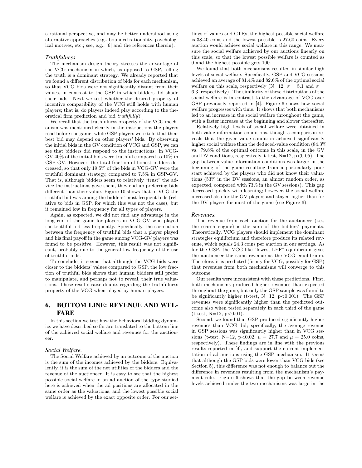a rational perspective, and may be better understood using alternative approaches (e.g., bounded rationality, psychological motives, etc.; see, e.g., [6] and the references therein).

#### *Truthfulness.*

The mechanism design theory stresses the advantage of the VCG mechanism in which, as opposed to GSP, telling the truth is a dominant strategy. We already reported that we found a different distribution of bids for each mechanism, so that VCG bids were not significantly distant from their values, in contrast to the GSP in which bidders did shade their bids. Next we test whether the desired property of incentive compatibility of the VCG still holds with human players; that is, do players indeed play according to the theoretical firm prediction and bid truthfully?

We recall that the truthfulness property of the VCG mechanism was mentioned clearly in the instructions the players read before the game, while GSP players were told that their best bid may depend on other players' bids. By observing the initial bids in the GV condition of VCG and GSP, we can see that bidders did respond to the instructions: in VCG-GV 40% of the initial bids were truthful compared to 10% in GSP-GV. However, the total fraction of honest bidders decreased, so that only 19.5% of the bids in VCG-GV were the truthful dominant strategy, compared to 7.5% in GSP-GV. That is, although bidders seem to relatively "trust" the advice the instructions gave them, they end up preferring bids different than their value. Figure 10 shows that in VCG the truthful bid was among the bidders' most frequent bids (relative to bids in GSP, for which this was not the case), but it remained low in frequency for all types of players.

Again, as expected, we did not find any advantage in the long run of the game for players in VCG-GV who played the truthful bid less frequently. Specifically, the correlation between the frequency of truthful bids that a player played and his final payoff in the game among VCG-GV players was found to be positive. However, this result was not significant, probably due to the general low frequency of the use of truthful bids.

To conclude, it seems that although the VCG bids were closer to the bidders' values compared to GSP, the low fraction of truthful bids shows that human bidders still prefer to manipulate, and perhaps not to reveal, their true valuations. These results raise doubts regarding the truthfulness property of the VCG when played by human players.

## 6. BOTTOM LINE: REVENUE AND WEL-FARE

In this section we test how the behavioral bidding dynamics we have described so far are translated to the bottom line of the achieved social welfare and revenues for the auctioneer.

#### *Social Welfare.*

The Social Welfare achieved by an outcome of the auction is the sum of the incomes achieved by the bidders. Equivalently, it is the sum of the net utilities of the bidders and the revenue of the auctioneer. It is easy to see that the highest possible social welfare in an ad auction of the type studied here is achieved when the ad positions are allocated in the same order as the valuations, and the lowest possible social welfare is achieved by the exact opposite order. For our settings of values and CTRs, the highest possible social welfare is 38.40 coins and the lowest possible is 27.60 coins. Every auction would achieve social welfare in this range. We measure the social welfare achieved by our auctions linearly on this scale, so that the lowest possible welfare is counted as 0 and the highest possible gets 100.

We found that both mechanisms resulted in similar high levels of social welfare. Specifically, GSP and VCG sessions achieved an average of 81.4% and 82.6% of the optimal social welfare on this scale, respectively (N=12,  $\sigma = 5.1$  and  $\sigma =$ 6.3, respectively). The similarity of these distributions of the social welfare is in contrast to the advantage of VCG over GSP previously reported in [4]. Figure 6 shows how social welfare progresses with time. It shows that both mechanisms led to an increase in the social welfare throughout the game, with a faster increase at the beginning and slower thereafter.

Relatively high levels of social welfare were obtained in both value-information conditions, though a comparison reveals that the given-value condition achieved significantly higher social welfare than the deduced-value condition  $(84.3\%$ vs. 79.8% of the optimal outcome in this scale, in the GV and DV conditions, respectively, t-test,  $N=12$ ,  $p<0.05$ ). The gap between value-information conditions was larger in the beginning of the game resulting from a particularly poor start achieved by the players who did not know their valuations (53% in the DV sessions, an almost random order, as expected, compared with 73% in the GV sessions). This gap decreased quickly with learning; however, the social welfare increased also for the GV players and stayed higher than for the DV players for most of the game (see Figure 6).

#### *Revenues.*

The revenue from each auction for the auctioneer (i.e., the search engine) is the sum of the bidders' payments. Theoretically, VCG players should implement the dominant strategies equilibrium and therefore produce its related revenue, which equals 24.3 coins per auction in our settings. As for the GSP, the VCG-like "lowest-LEF" equilibrium gives the auctioneer the same revenue as the VCG equilibrium. Therefore, it is predicted (firmly for VCG, possibly for GSP) that revenues from both mechanisms will converge to this outcome.

Our results were inconsistent with these predictions. First, both mechanisms produced higher revenues than expected throughout the game, but only the GSP sample was found to be significantly higher (t-test,  $N=12$ ,  $p<0.001$ ). The GSP revenues were significantly higher than the predicted outcome also when tested separately in each third of the game  $(t-test, N=12, p<0.01).$ 

Second, we found that GSP produced significantly higher revenues than VCG did; specifically, the average revenue in GSP sessions was significantly higher than in VCG sessions (t-test, N=12, p<0.02,  $\mu = 27.7$  and  $\mu = 25.0$  coins, respectively). These findings are in line with the previous results reported in [4], and support the current implementation of ad auctions using the GSP mechanism. It seems that although the GSP bids were lower than VCG bids (see Section 5), this difference was not enough to balance out the difference in revenues resulting from the mechanism's payment rule. Figure 6 shows that the gap between revenue levels achieved under the two mechanisms was large in the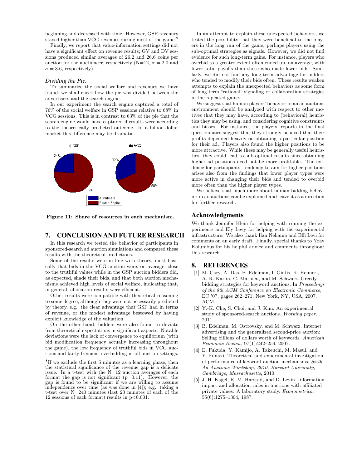beginning and decreased with time. However, GSP revenues stayed higher than VCG revenues during most of the game.<sup>8</sup>

Finally, we report that value-information settings did not have a significant effect on revenue results; GV and DV sessions produced similar averages of 26.2 and 26.6 coins per auction for the auctioneer, respectively (N=12,  $\sigma = 2.0$  and  $\sigma = 3.6$ , respectively).

#### *Dividing the Pie.*

To summarize the social welfare and revenues we have found, we shall check how the pie was divided between the advertisers and the search engine.

In our experiment the search engine captured a total of 76% of the social welfare in GSP sessions relative to 68% in VCG sessions. This is in contrast to 63% of the pie that the search engine would have captured if results were according to the theoretically predicted outcome. In a billion-dollar market this difference may be dramatic.



Figure 11: Share of resources in each mechanism.

### 7. CONCLUSION AND FUTURE RESEARCH

In this research we tested the behavior of participants in sponsored-search ad auction simulations and compared these results with the theoretical predictions.

Some of the results were in line with theory, most basically that bids in the VCG auction were, on average, close to the truthful values while in the GSP auction bidders did, as expected, shade their bids, and that both auction mechanisms achieved high levels of social welfare, indicating that, in general, allocation results were efficient.

Other results were compatible with theoretical reasoning to some degree, although they were not necessarily predicted by theory, e.g., the clear advantage that GSP had in terms of revenue, or the modest advantage bestowed by having explicit knowledge of the valuation.

On the other hand, bidders were also found to deviate from theoretical expectations in significant aspects. Notable deviations were the lack of convergence to equilibrium (with bid modification frequency actually increasing throughout the game), the low frequency of truthful bids in VCG auctions and fairly frequent overbidding in all auction settings.

In an attempt to explain these unexpected behaviors, we tested the possibility that they were beneficial to the players in the long run of the game, perhaps players using the sub-optimal strategies as signals. However, we did not find evidence for such long-term gains. For instance, players who overbid to a greater extent often ended up, on average, with lower total payoffs than those who made lower bids. Similarly, we did not find any long-term advantage for bidders who tended to modify their bids often. These results weaken attempts to explain the unexpected behaviors as some form of long-term "rational" signaling or collaboration strategies in the repeated game.

We suggest that human players' behavior in an ad auctions environment should be analyzed with respect to other motives that they may have, according to (behavioral) heuristics they may be using, and considering cognitive constraints and biases. For instance, the players' reports in the final questionnaire suggest that they strongly believed that their profits depended heavily on obtaining a particular position for their ad. Players also found the higher positions to be more attractive. While these may be generally useful heuristics, they could lead to sub-optimal results since obtaining higher ad positions need not be more profitable. The evidence for participants' tendency to aim for higher positions arises also from the findings that lower player types were more active in changing their bids and tended to overbid more often than the higher player types.

We believe that much more about human bidding behavior in ad auctions can be explained and leave it as a direction for further research.

## Acknowledgments

We thank Jennifer Klein for helping with running the experiments and Ely Levy for helping with the experimental infrastructure. We also thank Ilan Nehama and Effi Levi for comments on an early draft. Finally, special thanks to Yoav Kolumbus for his helpful advice and comments throughout this research.

### 8. REFERENCES

- [1] M. Cary, A. Das, B. Edelman, I. Giotis, K. Heimerl, A. R. Karlin, C. Mathieu, and M. Schwarz. Greedy bidding strategies for keyword auctions. In Proceedings of the 8th ACM Conference on Electronic Commerce, EC '07, pages 262–271, New York, NY, USA, 2007. ACM.
- [2] Y.-K. Che, S. Choi, and J. Kim. An experimental study of sponsored-search auctions. Working paper, 2011.
- [3] B. Edelman, M. Ostrovsky, and M. Schwarz. Internet advertising and the generalized second-price auction: Selling billions of dollars worth of keywords. American Economic Review, 97(1):242–259, 2007.
- [4] E. Fukuda, Y. Kamijo, A. Takeuchi, M. Masui, and Y. Funaki. Theoretical and experimental investigation of performance of keyword auction mechanisms. Sixth Ad Auctions Workshop, 2010, Harvard University, Cambridge, Massachusetts, 2010.
- [5] J. H. Kagel, R. M. Harstad, and D. Levin. Information impact and allocation rules in auctions with affiliated private values: A laboratory study. Econometrica, 55(6):1275–1304, 1987.

<sup>&</sup>lt;sup>8</sup>If we exclude the first 5 minutes as a learning phase, then the statistical significance of the revenue gap is a delicate issue. In a t-test with the N=12 auction averages of each format the gap is not significant  $(p=0.11)$ . However, the gap is found to be significant if we are willing to assume independence over time (as was done in [4]); e.g., taking a t-test over N=240 minutes (last 20 minutes of each of the 12 sessions of each format) results in  $p < 0.001$ .